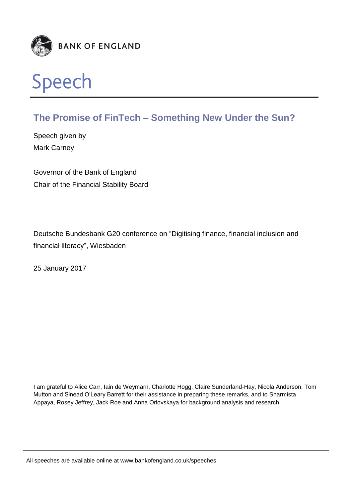



# **The Promise of FinTech – Something New Under the Sun?**

Speech given by Mark Carney

Governor of the Bank of England Chair of the Financial Stability Board

Deutsche Bundesbank G20 conference on "Digitising finance, financial inclusion and financial literacy", Wiesbaden

25 January 2017

I am grateful to Alice Carr, Iain de Weymarn, Charlotte Hogg, Claire Sunderland-Hay, Nicola Anderson, Tom Mutton and Sinead O'Leary Barrett for their assistance in preparing these remarks, and to Sharmista Appaya, Rosey Jeffrey, Jack Roe and Anna Orlovskaya for background analysis and research.

All speeches are available online at www.bankofengland.co.uk/speeches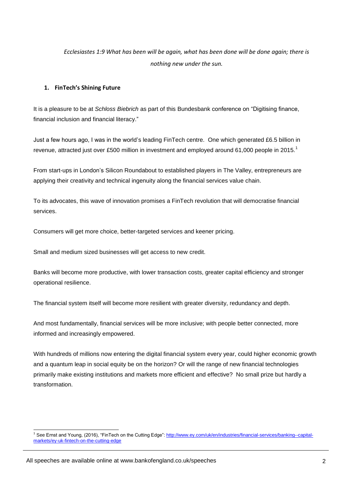*Ecclesiastes 1:9 What has been will be again, what has been done will be done again; there is nothing new under the sun.*

# **1. FinTech's Shining Future**

It is a pleasure to be at *Schloss Biebrich* as part of this Bundesbank conference on "Digitising finance, financial inclusion and financial literacy."

Just a few hours ago, I was in the world's leading FinTech centre. One which generated £6.5 billion in revenue, attracted just over £500 million in investment and employed around 61,000 people in 2015.<sup>1</sup>

From start-ups in London's Silicon Roundabout to established players in The Valley, entrepreneurs are applying their creativity and technical ingenuity along the financial services value chain.

To its advocates, this wave of innovation promises a FinTech revolution that will democratise financial services.

Consumers will get more choice, better-targeted services and keener pricing.

Small and medium sized businesses will get access to new credit.

Banks will become more productive, with lower transaction costs, greater capital efficiency and stronger operational resilience.

The financial system itself will become more resilient with greater diversity, redundancy and depth.

And most fundamentally, financial services will be more inclusive; with people better connected, more informed and increasingly empowered.

With hundreds of millions now entering the digital financial system every year, could higher economic growth and a quantum leap in social equity be on the horizon? Or will the range of new financial technologies primarily make existing institutions and markets more efficient and effective? No small prize but hardly a transformation.

<sup>1</sup> <sup>1</sup> See Ernst and Young, (2016), "FinTech on the Cutting Edge"[: http://www.ey.com/uk/en/industries/financial-services/banking--capital](http://www.ey.com/uk/en/industries/financial-services/banking--capital-markets/ey-uk-fintech-on-the-cutting-edge)[markets/ey-uk-fintech-on-the-cutting-edge](http://www.ey.com/uk/en/industries/financial-services/banking--capital-markets/ey-uk-fintech-on-the-cutting-edge)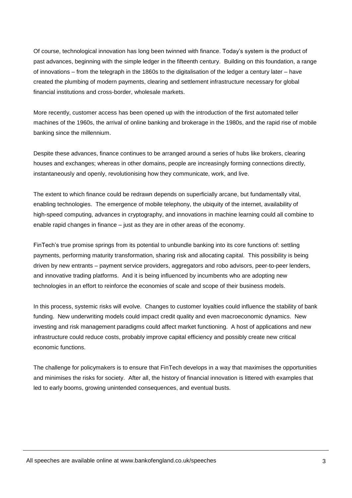Of course, technological innovation has long been twinned with finance. Today's system is the product of past advances, beginning with the simple ledger in the fifteenth century. Building on this foundation, a range of innovations – from the telegraph in the 1860s to the digitalisation of the ledger a century later – have created the plumbing of modern payments, clearing and settlement infrastructure necessary for global financial institutions and cross-border, wholesale markets.

More recently, customer access has been opened up with the introduction of the first automated teller machines of the 1960s, the arrival of online banking and brokerage in the 1980s, and the rapid rise of mobile banking since the millennium.

Despite these advances, finance continues to be arranged around a series of hubs like brokers, clearing houses and exchanges; whereas in other domains, people are increasingly forming connections directly, instantaneously and openly, revolutionising how they communicate, work, and live.

The extent to which finance could be redrawn depends on superficially arcane, but fundamentally vital, enabling technologies. The emergence of mobile telephony, the ubiquity of the internet, availability of high-speed computing, advances in cryptography, and innovations in machine learning could all combine to enable rapid changes in finance – just as they are in other areas of the economy.

FinTech's true promise springs from its potential to unbundle banking into its core functions of: settling payments, performing maturity transformation, sharing risk and allocating capital. This possibility is being driven by new entrants – payment service providers, aggregators and robo advisors, peer-to-peer lenders, and innovative trading platforms. And it is being influenced by incumbents who are adopting new technologies in an effort to reinforce the economies of scale and scope of their business models.

In this process, systemic risks will evolve. Changes to customer loyalties could influence the stability of bank funding. New underwriting models could impact credit quality and even macroeconomic dynamics. New investing and risk management paradigms could affect market functioning. A host of applications and new infrastructure could reduce costs, probably improve capital efficiency and possibly create new critical economic functions.

The challenge for policymakers is to ensure that FinTech develops in a way that maximises the opportunities and minimises the risks for society. After all, the history of financial innovation is littered with examples that led to early booms, growing unintended consequences, and eventual busts.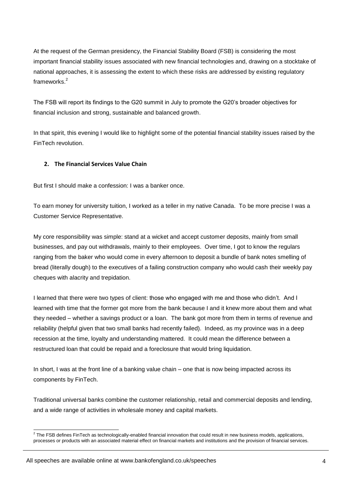At the request of the German presidency, the Financial Stability Board (FSB) is considering the most important financial stability issues associated with new financial technologies and, drawing on a stocktake of national approaches, it is assessing the extent to which these risks are addressed by existing regulatory frameworks<sup>2</sup>

The FSB will report its findings to the G20 summit in July to promote the G20's broader objectives for financial inclusion and strong, sustainable and balanced growth.

In that spirit, this evening I would like to highlight some of the potential financial stability issues raised by the FinTech revolution.

# **2. The Financial Services Value Chain**

But first I should make a confession: I was a banker once.

To earn money for university tuition, I worked as a teller in my native Canada. To be more precise I was a Customer Service Representative.

My core responsibility was simple: stand at a wicket and accept customer deposits, mainly from small businesses, and pay out withdrawals, mainly to their employees. Over time, I got to know the regulars ranging from the baker who would come in every afternoon to deposit a bundle of bank notes smelling of bread (literally dough) to the executives of a failing construction company who would cash their weekly pay cheques with alacrity and trepidation.

I learned that there were two types of client: those who engaged with me and those who didn't. And I learned with time that the former got more from the bank because I and it knew more about them and what they needed – whether a savings product or a loan. The bank got more from them in terms of revenue and reliability (helpful given that two small banks had recently failed). Indeed, as my province was in a deep recession at the time, loyalty and understanding mattered. It could mean the difference between a restructured loan that could be repaid and a foreclosure that would bring liquidation.

In short, I was at the front line of a banking value chain – one that is now being impacted across its components by FinTech.

Traditional universal banks combine the customer relationship, retail and commercial deposits and lending, and a wide range of activities in wholesale money and capital markets.

 2 The FSB defines FinTech as technologically-enabled financial innovation that could result in new business models, applications, processes or products with an associated material effect on financial markets and institutions and the provision of financial services.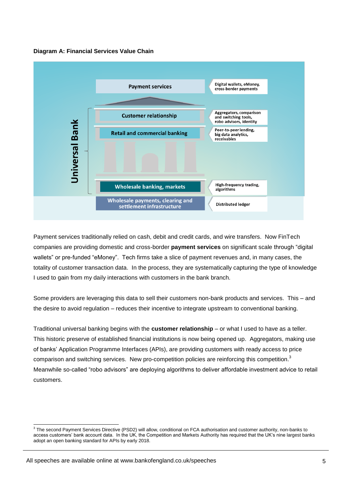



Payment services traditionally relied on cash, debit and credit cards, and wire transfers. Now FinTech companies are providing domestic and cross-border **payment services** on significant scale through "digital wallets" or pre-funded "eMoney". Tech firms take a slice of payment revenues and, in many cases, the totality of customer transaction data. In the process, they are systematically capturing the type of knowledge I used to gain from my daily interactions with customers in the bank branch.

Some providers are leveraging this data to sell their customers non-bank products and services. This – and the desire to avoid regulation – reduces their incentive to integrate upstream to conventional banking.

Traditional universal banking begins with the **customer relationship** – or what I used to have as a teller. This historic preserve of established financial institutions is now being opened up. Aggregators, making use of banks' Application Programme Interfaces (APIs), are providing customers with ready access to price comparison and switching services. New pro-competition policies are reinforcing this competition.<sup>3</sup> Meanwhile so-called "robo advisors" are deploying algorithms to deliver affordable investment advice to retail customers.

 3 The second Payment Services Directive (PSD2) will allow, conditional on FCA authorisation and customer authority, non-banks to access customers' bank account data. In the UK, the Competition and Markets Authority has required that the UK's nine largest banks adopt an open banking standard for APIs by early 2018.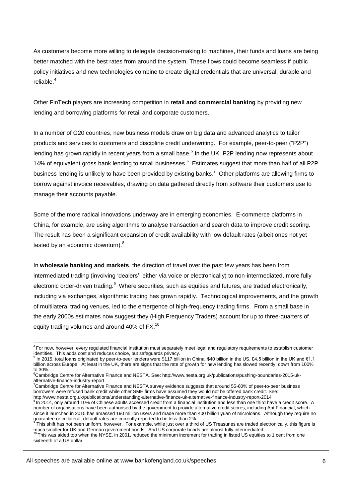As customers become more willing to delegate decision-making to machines, their funds and loans are being better matched with the best rates from around the system. These flows could become seamless if public policy initiatives and new technologies combine to create digital credentials that are universal, durable and reliable.<sup>4</sup>

Other FinTech players are increasing competition in **retail and commercial banking** by providing new lending and borrowing platforms for retail and corporate customers.

In a number of G20 countries, new business models draw on big data and advanced analytics to tailor products and services to customers and discipline credit underwriting. For example, peer-to-peer ("P2P") lending has grown rapidly in recent years from a small base.<sup>5</sup> In the UK, P2P lending now represents about 14% of equivalent gross bank lending to small businesses.<sup>6</sup> Estimates suggest that more than half of all P2P business lending is unlikely to have been provided by existing banks.<sup>7</sup> Other platforms are allowing firms to borrow against invoice receivables, drawing on data gathered directly from software their customers use to manage their accounts payable.

Some of the more radical innovations underway are in emerging economies. E-commerce platforms in China, for example, are using algorithms to analyse transaction and search data to improve credit scoring. The result has been a significant expansion of credit availability with low default rates (albeit ones not yet tested by an economic downturn).<sup>8</sup>

In **wholesale banking and markets**, the direction of travel over the past few years has been from intermediated trading (involving 'dealers', either via voice or electronically) to non-intermediated, more fully electronic order-driven trading.<sup>9</sup> Where securities, such as equities and futures, are traded electronically, including via exchanges, algorithmic trading has grown rapidly. Technological improvements, and the growth of multilateral trading venues, led to the emergence of high-frequency trading firms. From a small base in the early 2000s estimates now suggest they (High Frequency Traders) account for up to three-quarters of equity trading volumes and around 40% of FX.<sup>10</sup>

 4 For now, however, every regulated financial institution must separately meet legal and regulatory requirements to establish customer identities. This adds cost and reduces choice, but safeguards privacy.

<sup>&</sup>lt;sup>5</sup> In 2015, total loans originated by peer-to-peer lenders were \$117 billion in China, \$40 billion in the US, £4.5 billion in the UK and €1.1 billion across Europe. At least in the UK, there are signs that the rate of growth for new lending has slowed recently; down from 100% to 30%.

<sup>6</sup>Cambridge Centre for Alternative Finance and NESTA. See: http://www.nesta.org.uk/publications/pushing-boundaries-2015-ukalternative-finance-industry-report

<sup>7</sup>Cambridge Centre for Alternative Finance and NESTA survey evidence suggests that around 55-60% of peer-to-peer business borrowers were refused bank credit while other SME firms have assumed they would not be offered bank credit. See: http://www.nesta.org.uk/publications/understanding-alternative-finance-uk-alternative-finance-industry-report-2014

 $8$  In 2014, only around 10% of Chinese adults accessed credit from a financial institution and less than one third have a credit score. A number of organisations have been authorised by the government to provide alternative credit scores, including Ant Financial, which since it launched in 2015 has amassed 190 million users and made more than 400 billion yuan of microloans. Although they require no guarantee or collateral, default rates are currently reported to be less than 2%.<br><sup>9</sup> This chift has not been uniform, hoursier. For example, while just over a thin

This shift has not been uniform, however. For example, while just over a third of US Treasuries are traded electronically, this figure is much smaller for UK and German government bonds. And US corporate bonds are almost fully intermediated.

 $10$  This was aided too when the NYSE, in 2001, reduced the minimum increment for trading in listed US equities to 1 cent from one sixteenth of a US dollar.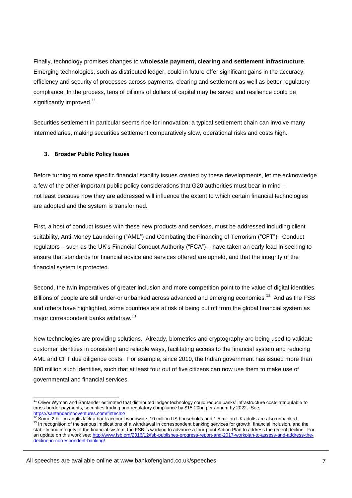Finally, technology promises changes to **wholesale payment, clearing and settlement infrastructure**. Emerging technologies, such as distributed ledger, could in future offer significant gains in the accuracy, efficiency and security of processes across payments, clearing and settlement as well as better regulatory compliance. In the process, tens of billions of dollars of capital may be saved and resilience could be significantly improved.<sup>11</sup>

Securities settlement in particular seems ripe for innovation; a typical settlement chain can involve many intermediaries, making securities settlement comparatively slow, operational risks and costs high.

### **3. Broader Public Policy Issues**

Before turning to some specific financial stability issues created by these developments, let me acknowledge a few of the other important public policy considerations that G20 authorities must bear in mind – not least because how they are addressed will influence the extent to which certain financial technologies are adopted and the system is transformed.

First, a host of conduct issues with these new products and services, must be addressed including client suitability, Anti-Money Laundering ("AML") and Combating the Financing of Terrorism ("CFT"). Conduct regulators – such as the UK's Financial Conduct Authority ("FCA") – have taken an early lead in seeking to ensure that standards for financial advice and services offered are upheld, and that the integrity of the financial system is protected.

Second, the twin imperatives of greater inclusion and more competition point to the value of digital identities. Billions of people are still under-or unbanked across advanced and emerging economies.<sup>12</sup> And as the FSB and others have highlighted, some countries are at risk of being cut off from the global financial system as major correspondent banks withdraw.<sup>13</sup>

New technologies are providing solutions. Already, biometrics and cryptography are being used to validate customer identities in consistent and reliable ways, facilitating access to the financial system and reducing AML and CFT due diligence costs. For example, since 2010, the Indian government has issued more than 800 million such identities, such that at least four out of five citizens can now use them to make use of governmental and financial services.

<sup>1</sup>  $11$  Oliver Wyman and Santander estimated that distributed ledger technology could reduce banks' infrastructure costs attributable to cross-border payments, securities trading and regulatory compliance by \$15-20bn per annum by 2022. See:

<sup>&</sup>lt;u><https://santanderinnoventures.com/fintech2/></u><br><sup>12</sup> Some 2 billion adults lack a bank account worldwide. 10 million US households and 1.5 million UK adults are also unbanked. <sup>13</sup> In recognition of the serious implications of a withdrawal in correspondent banking services for growth, financial inclusion, and the stability and integrity of the financial system, the FSB is working to advance a four-point Action Plan to address the recent decline. For an update on this work see: [http://www.fsb.org/2016/12/fsb-publishes-progress-report-and-2017-workplan-to-assess-and-address-the](http://www.fsb.org/2016/12/fsb-publishes-progress-report-and-2017-workplan-to-assess-and-address-the-decline-in-correspondent-banking/)[decline-in-correspondent-banking/](http://www.fsb.org/2016/12/fsb-publishes-progress-report-and-2017-workplan-to-assess-and-address-the-decline-in-correspondent-banking/)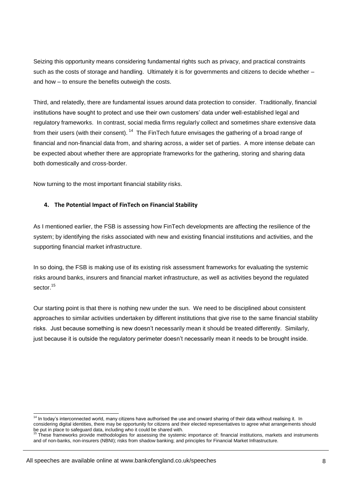Seizing this opportunity means considering fundamental rights such as privacy, and practical constraints such as the costs of storage and handling. Ultimately it is for governments and citizens to decide whether – and how – to ensure the benefits outweigh the costs.

Third, and relatedly, there are fundamental issues around data protection to consider. Traditionally, financial institutions have sought to protect and use their own customers' data under well-established legal and regulatory frameworks. In contrast, social media firms regularly collect and sometimes share extensive data from their users (with their consent).  $14$  The FinTech future envisages the gathering of a broad range of financial and non-financial data from, and sharing across, a wider set of parties. A more intense debate can be expected about whether there are appropriate frameworks for the gathering, storing and sharing data both domestically and cross-border.

Now turning to the most important financial stability risks.

### **4. The Potential Impact of FinTech on Financial Stability**

As I mentioned earlier, the FSB is assessing how FinTech developments are affecting the resilience of the system; by identifying the risks associated with new and existing financial institutions and activities, and the supporting financial market infrastructure.

In so doing, the FSB is making use of its existing risk assessment frameworks for evaluating the systemic risks around banks, insurers and financial market infrastructure, as well as activities beyond the regulated sector.<sup>15</sup>

Our starting point is that there is nothing new under the sun. We need to be disciplined about consistent approaches to similar activities undertaken by different institutions that give rise to the same financial stability risks. Just because something is new doesn't necessarily mean it should be treated differently. Similarly, just because it is outside the regulatory perimeter doesn't necessarily mean it needs to be brought inside.

<sup>-</sup> $14$  In today's interconnected world, many citizens have authorised the use and onward sharing of their data without realising it. In considering digital identities, there may be opportunity for citizens and their elected representatives to agree what arrangements should be put in place to safeguard data, including who it could be shared with.

These frameworks provide methodologies for assessing the systemic importance of: financial institutions, markets and instruments and of non-banks, non-insurers (NBNI); risks from shadow banking; and principles for Financial Market Infrastructure.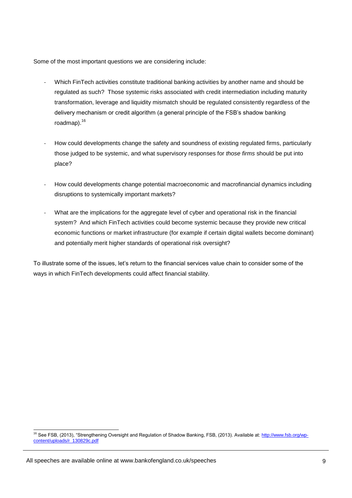Some of the most important questions we are considering include:

- Which FinTech activities constitute traditional banking activities by another name and should be regulated as such? Those systemic risks associated with credit intermediation including maturity transformation, leverage and liquidity mismatch should be regulated consistently regardless of the delivery mechanism or credit algorithm (a general principle of the FSB's shadow banking roadmap).<sup>16</sup>
- How could developments change the safety and soundness of existing regulated firms, particularly those judged to be systemic, and what supervisory responses for *those firms* should be put into place?
- How could developments change potential macroeconomic and macrofinancial dynamics including disruptions to systemically important markets?
- What are the implications for the aggregate level of cyber and operational risk in the financial system? And which FinTech activities could become systemic because they provide new critical economic functions or market infrastructure (for example if certain digital wallets become dominant) and potentially merit higher standards of operational risk oversight?

To illustrate some of the issues, let's return to the financial services value chain to consider some of the ways in which FinTech developments could affect financial stability.

<sup>1</sup> <sup>16</sup> See FSB, (2013), "Strengthening Oversight and Regulation of Shadow Banking, FSB, (2013). Available at[: http://www.fsb.org/wp](http://www.fsb.org/wp-content/uploads/r_130829c.pdf)[content/uploads/r\\_130829c.pdf](http://www.fsb.org/wp-content/uploads/r_130829c.pdf)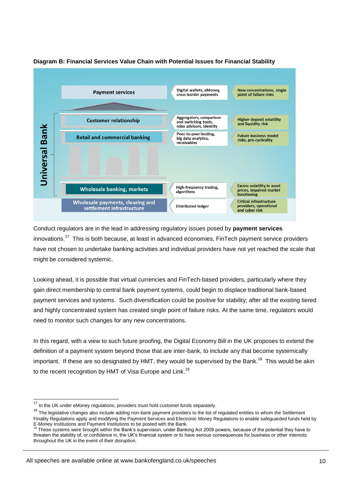

# **Diagram B: Financial Services Value Chain with Potential Issues for Financial Stability**

Conduct regulators are in the lead in addressing regulatory issues posed by **payment services** innovations.<sup>17</sup> This is both because, at least in advanced economies, FinTech payment service providers have not chosen to undertake banking activities and individual providers have not yet reached the scale that might be considered systemic.

Looking ahead, it is possible that virtual currencies and FinTech-based providers, particularly where they gain direct membership to central bank payment systems, could begin to displace traditional bank-based payment services and systems. Such diversification could be positive for stability; after all the existing tiered and highly concentrated system has created single point of failure risks. At the same time, regulators would need to monitor such changes for any new concentrations.

In this regard, with a view to such future proofing, the Digital Economy Bill in the UK proposes to extend the definition of a payment system beyond those that are inter-bank, to include any that become systemically important. If these are so designated by HMT, they would be supervised by the Bank.<sup>18</sup> This would be akin to the recent recognition by HMT of Visa Europe and Link.<sup>19</sup>

-

All speeches are available online at www.bankofengland.co.uk/speeches

 $17$  In the UK under eMoney regulations, providers must hold customer funds separately.

 $18$  The legislative changes also include adding non-bank payment providers to the list of regulated entities to whom the Settlement Finality Regulations apply and modifying the Payment Services and Electronic Money Regulations to enable safeguarded funds held by E-Money Institutions and Payment Institutions to be posted with the Bank.

These systems were brought within the Bank's supervision, under Banking Act 2009 powers, because of the potential they have to threaten the stability of, or confidence in, the UK's financial system or to have serious consequences for business or other interests throughout the UK in the event of their disruption.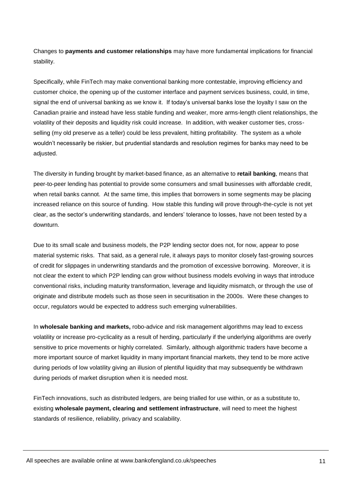Changes to **payments and customer relationships** may have more fundamental implications for financial stability.

Specifically, while FinTech may make conventional banking more contestable, improving efficiency and customer choice, the opening up of the customer interface and payment services business, could, in time, signal the end of universal banking as we know it. If today's universal banks lose the loyalty I saw on the Canadian prairie and instead have less stable funding and weaker, more arms-length client relationships, the volatility of their deposits and liquidity risk could increase. In addition, with weaker customer ties, crossselling (my old preserve as a teller) could be less prevalent, hitting profitability. The system as a whole wouldn't necessarily be riskier, but prudential standards and resolution regimes for banks may need to be adjusted.

The diversity in funding brought by market-based finance, as an alternative to **retail banking**, means that peer-to-peer lending has potential to provide some consumers and small businesses with affordable credit, when retail banks cannot. At the same time, this implies that borrowers in some segments may be placing increased reliance on this source of funding. How stable this funding will prove through-the-cycle is not yet clear, as the sector's underwriting standards, and lenders' tolerance to losses, have not been tested by a downturn.

Due to its small scale and business models, the P2P lending sector does not, for now, appear to pose material systemic risks. That said, as a general rule, it always pays to monitor closely fast-growing sources of credit for slippages in underwriting standards and the promotion of excessive borrowing. Moreover, it is not clear the extent to which P2P lending can grow without business models evolving in ways that introduce conventional risks, including maturity transformation, leverage and liquidity mismatch, or through the use of originate and distribute models such as those seen in securitisation in the 2000s. Were these changes to occur, regulators would be expected to address such emerging vulnerabilities.

In **wholesale banking and markets,** robo-advice and risk management algorithms may lead to excess volatility or increase pro-cyclicality as a result of herding, particularly if the underlying algorithms are overly sensitive to price movements or highly correlated. Similarly, although algorithmic traders have become a more important source of market liquidity in many important financial markets, they tend to be more active during periods of low volatility giving an illusion of plentiful liquidity that may subsequently be withdrawn during periods of market disruption when it is needed most.

FinTech innovations, such as distributed ledgers, are being trialled for use within, or as a substitute to, existing **wholesale payment, clearing and settlement infrastructure**, will need to meet the highest standards of resilience, reliability, privacy and scalability.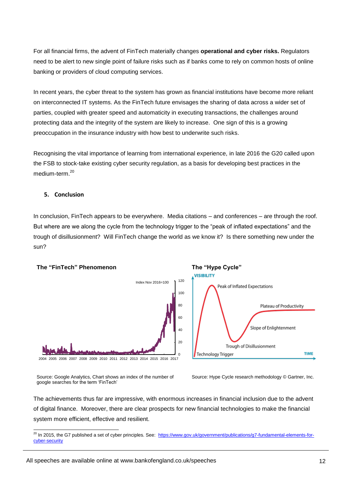For all financial firms, the advent of FinTech materially changes **operational and cyber risks.** Regulators need to be alert to new single point of failure risks such as if banks come to rely on common hosts of online banking or providers of cloud computing services.

In recent years, the cyber threat to the system has grown as financial institutions have become more reliant on interconnected IT systems. As the FinTech future envisages the sharing of data across a wider set of parties, coupled with greater speed and automaticity in executing transactions, the challenges around protecting data and the integrity of the system are likely to increase. One sign of this is a growing preoccupation in the insurance industry with how best to underwrite such risks.

Recognising the vital importance of learning from international experience, in late 2016 the G20 called upon the FSB to stock-take existing cyber security regulation, as a basis for developing best practices in the medium-term<sup>20</sup>

#### **5. Conclusion**

1

In conclusion, FinTech appears to be everywhere. Media citations – and conferences – are through the roof. But where are we along the cycle from the technology trigger to the "peak of inflated expectations" and the trough of disillusionment? Will FinTech change the world as we know it? Is there something new under the sun?



Source: Google Analytics, Chart shows an index of the number of google searches for the term 'FinTech'



The achievements thus far are impressive, with enormous increases in financial inclusion due to the advent of digital finance. Moreover, there are clear prospects for new financial technologies to make the financial system more efficient, effective and resilient.

<sup>&</sup>lt;sup>20</sup> In 2015, the G7 published a set of cyber principles. See: [https://www.gov.uk/government/publications/g7-fundamental-elements-for](https://www.gov.uk/government/publications/g7-fundamental-elements-for-cyber-security)[cyber-security](https://www.gov.uk/government/publications/g7-fundamental-elements-for-cyber-security)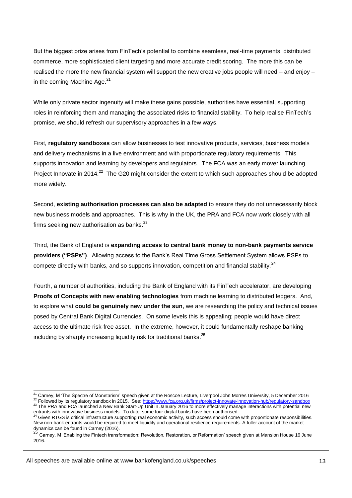But the biggest prize arises from FinTech's potential to combine seamless, real-time payments, distributed commerce, more sophisticated client targeting and more accurate credit scoring. The more this can be realised the more the new financial system will support the new creative jobs people will need – and enjoy – in the coming Machine Age. $21$ 

While only private sector ingenuity will make these gains possible, authorities have essential, supporting roles in reinforcing them and managing the associated risks to financial stability. To help realise FinTech's promise, we should refresh our supervisory approaches in a few ways.

First, **regulatory sandboxes** can allow businesses to test innovative products, services, business models and delivery mechanisms in a live environment and with proportionate regulatory requirements. This supports innovation and learning by developers and regulators. The FCA was an early mover launching Project Innovate in 2014.<sup>22</sup> The G20 might consider the extent to which such approaches should be adopted more widely.

Second, **existing authorisation processes can also be adapted** to ensure they do not unnecessarily block new business models and approaches. This is why in the UK, the PRA and FCA now work closely with all firms seeking new authorisation as banks.<sup>23</sup>

Third, the Bank of England is **expanding access to central bank money to non-bank payments service providers ("PSPs")**. Allowing access to the Bank's Real Time Gross Settlement System allows PSPs to compete directly with banks, and so supports innovation, competition and financial stability. $24$ 

Fourth, a number of authorities, including the Bank of England with its FinTech accelerator, are developing **Proofs of Concepts with new enabling technologies** from machine learning to distributed ledgers. And, to explore what **could be genuinely new under the sun**, we are researching the policy and technical issues posed by Central Bank Digital Currencies. On some levels this is appealing; people would have direct access to the ultimate risk-free asset. In the extreme, however, it could fundamentally reshape banking including by sharply increasing liquidity risk for traditional banks.<sup>25</sup>

<sup>22</sup> Followed by its regulatory sandbox in 2015. See[: https://www.fca.org.uk/firms/project-innovate-innovation-hub/regulatory-sandbox](https://www.fca.org.uk/firms/project-innovate-innovation-hub/regulatory-sandbox) <sup>23</sup> The PRA and FCA launched a New Bank Start-Up Unit in January 2016 to more effectively manage interactions with potential new

-

 $^{21}$  Carney, M 'The Spectre of Monetarism' speech given at the Roscoe Lecture, Liverpool John Morres University, 5 December 2016

entrants with innovative business models. To date, some four digital banks have been authorised.<br><sup>24</sup> Given RTGS is critical infrastructure supporting real economic activity, such access should come with proportionate resp New non-bank entrants would be required to meet liquidity and operational resilience requirements. A fuller account of the market dynamics can be found in Carney (2016).<br>
<sup>25</sup> Can be found in Carney (2016).

<sup>25</sup> Carney, M 'Enabling the Fintech transformation: Revolution, Restoration, or Reformation' speech given at Mansion House 16 June 2016.